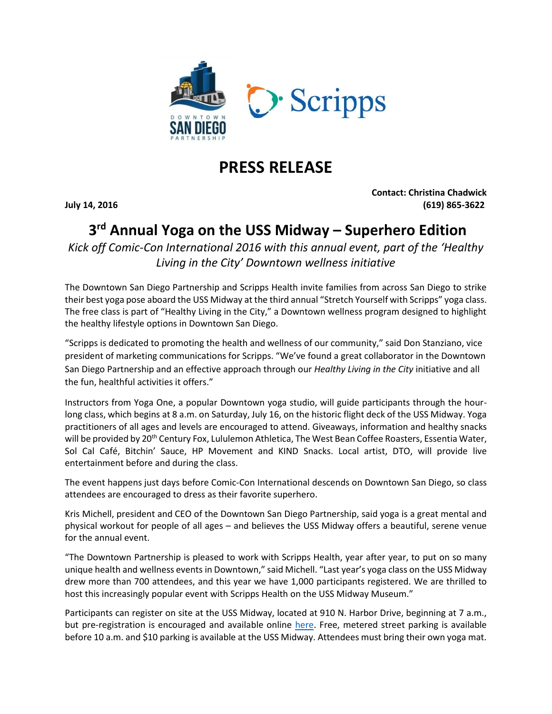

## **PRESS RELEASE**

**Contact: Christina Chadwick July 14, 2016 (619) 865-3622**

## **3 rd Annual Yoga on the USS Midway – Superhero Edition**

*Kick off Comic-Con International 2016 with this annual event, part of the 'Healthy Living in the City' Downtown wellness initiative*

The Downtown San Diego Partnership and Scripps Health invite families from across San Diego to strike their best yoga pose aboard the USS Midway at the third annual "Stretch Yourself with Scripps" yoga class. The free class is part of "Healthy Living in the City," a Downtown wellness program designed to highlight the healthy lifestyle options in Downtown San Diego.

"Scripps is dedicated to promoting the health and wellness of our community," said Don Stanziano, vice president of marketing communications for Scripps. "We've found a great collaborator in the Downtown San Diego Partnership and an effective approach through our *Healthy Living in the City* initiative and all the fun, healthful activities it offers."

Instructors from Yoga One, a popular Downtown yoga studio, will guide participants through the hourlong class, which begins at 8 a.m. on Saturday, July 16, on the historic flight deck of the USS Midway. Yoga practitioners of all ages and levels are encouraged to attend. Giveaways, information and healthy snacks will be provided by 20<sup>th</sup> Century Fox, Lululemon Athletica, The West Bean Coffee Roasters, Essentia Water, Sol Cal Café, Bitchin' Sauce, HP Movement and KIND Snacks. Local artist, DTO, will provide live entertainment before and during the class.

The event happens just days before Comic-Con International descends on Downtown San Diego, so class attendees are encouraged to dress as their favorite superhero.

Kris Michell, president and CEO of the Downtown San Diego Partnership, said yoga is a great mental and physical workout for people of all ages – and believes the USS Midway offers a beautiful, serene venue for the annual event.

"The Downtown Partnership is pleased to work with Scripps Health, year after year, to put on so many unique health and wellness events in Downtown," said Michell. "Last year's yoga class on the USS Midway drew more than 700 attendees, and this year we have 1,000 participants registered. We are thrilled to host this increasingly popular event with Scripps Health on the USS Midway Museum."

Participants can register on site at the USS Midway, located at 910 N. Harbor Drive, beginning at 7 a.m., but pre-registration is encouraged and available online [here.](https://www.eventbrite.com/e/free-yoga-on-the-uss-midway-presented-by-scripps-health-and-downtown-san-diego-partnership-tickets-24301074167) Free, metered street parking is available before 10 a.m. and \$10 parking is available at the USS Midway. Attendees must bring their own yoga mat.